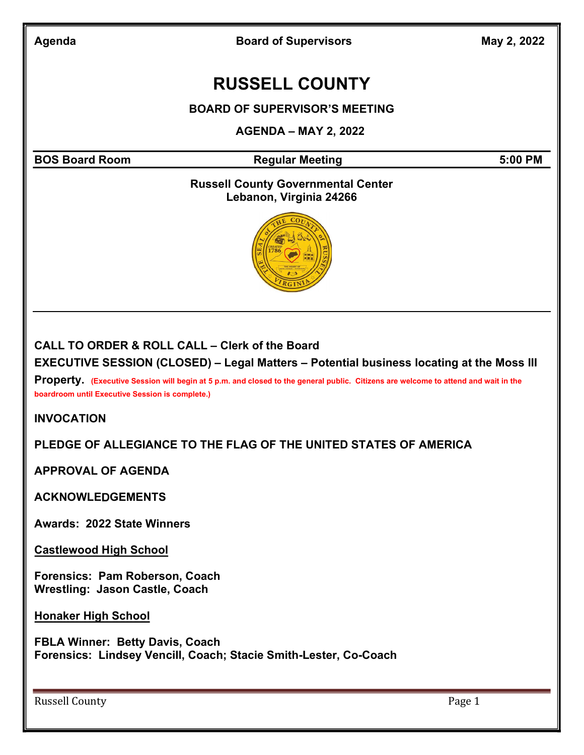Agenda **Board of Supervisors** May 2, 2022

# RUSSELL COUNTY

#### BOARD OF SUPERVISOR'S MEETING

#### AGENDA – MAY 2, 2022

BOS Board Room **Regular Meeting 6:00 PM** Regular Meeting

#### Russell County Governmental Center Lebanon, Virginia 24266



#### CALL TO ORDER & ROLL CALL – Clerk of the Board

EXECUTIVE SESSION (CLOSED) – Legal Matters – Potential business locating at the Moss III

Property. (Executive Session will begin at 5 p.m. and closed to the general public. Citizens are welcome to attend and wait in the boardroom until Executive Session is complete.)

INVOCATION

#### PLEDGE OF ALLEGIANCE TO THE FLAG OF THE UNITED STATES OF AMERICA

APPROVAL OF AGENDA

**ACKNOWLEDGEMENTS** 

Awards: 2022 State Winners

Castlewood High School

Forensics: Pam Roberson, Coach Wrestling: Jason Castle, Coach

Honaker High School

FBLA Winner: Betty Davis, Coach Forensics: Lindsey Vencill, Coach; Stacie Smith-Lester, Co-Coach

Russell County **Page 1**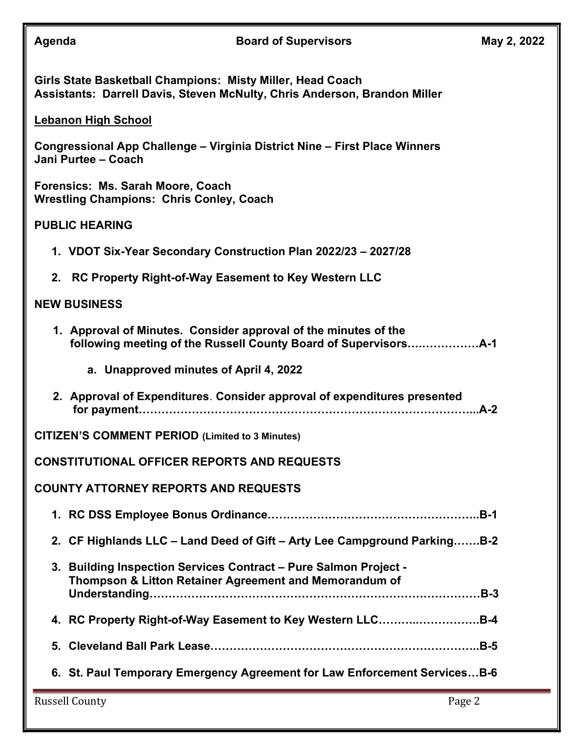| Agenda                                                                                                                                  |                                                      | <b>Board of Supervisors</b>                                                                                                | May 2, 2022 |  |  |
|-----------------------------------------------------------------------------------------------------------------------------------------|------------------------------------------------------|----------------------------------------------------------------------------------------------------------------------------|-------------|--|--|
| Girls State Basketball Champions: Misty Miller, Head Coach<br>Assistants: Darrell Davis, Steven McNulty, Chris Anderson, Brandon Miller |                                                      |                                                                                                                            |             |  |  |
| <b>Lebanon High School</b>                                                                                                              |                                                      |                                                                                                                            |             |  |  |
| Congressional App Challenge - Virginia District Nine - First Place Winners<br>Jani Purtee - Coach                                       |                                                      |                                                                                                                            |             |  |  |
| Forensics: Ms. Sarah Moore, Coach<br><b>Wrestling Champions: Chris Conley, Coach</b>                                                    |                                                      |                                                                                                                            |             |  |  |
| <b>PUBLIC HEARING</b>                                                                                                                   |                                                      |                                                                                                                            |             |  |  |
|                                                                                                                                         |                                                      | 1. VDOT Six-Year Secondary Construction Plan 2022/23 - 2027/28                                                             |             |  |  |
| 2.                                                                                                                                      | RC Property Right-of-Way Easement to Key Western LLC |                                                                                                                            |             |  |  |
| <b>NEW BUSINESS</b>                                                                                                                     |                                                      |                                                                                                                            |             |  |  |
|                                                                                                                                         |                                                      | 1. Approval of Minutes. Consider approval of the minutes of the                                                            |             |  |  |
|                                                                                                                                         | a. Unapproved minutes of April 4, 2022               |                                                                                                                            |             |  |  |
|                                                                                                                                         |                                                      | 2. Approval of Expenditures. Consider approval of expenditures presented                                                   |             |  |  |
| <b>CITIZEN'S COMMENT PERIOD (Limited to 3 Minutes)</b>                                                                                  |                                                      |                                                                                                                            |             |  |  |
| <b>CONSTITUTIONAL OFFICER REPORTS AND REQUESTS</b>                                                                                      |                                                      |                                                                                                                            |             |  |  |
| <b>COUNTY ATTORNEY REPORTS AND REQUESTS</b>                                                                                             |                                                      |                                                                                                                            |             |  |  |
|                                                                                                                                         |                                                      |                                                                                                                            |             |  |  |
|                                                                                                                                         |                                                      | 2. CF Highlands LLC - Land Deed of Gift - Arty Lee Campground ParkingB-2                                                   |             |  |  |
|                                                                                                                                         |                                                      | 3. Building Inspection Services Contract - Pure Salmon Project -<br>Thompson & Litton Retainer Agreement and Memorandum of |             |  |  |
|                                                                                                                                         |                                                      | 4. RC Property Right-of-Way Easement to Key Western LLCB-4                                                                 |             |  |  |
|                                                                                                                                         |                                                      |                                                                                                                            |             |  |  |
|                                                                                                                                         |                                                      | 6. St. Paul Temporary Emergency Agreement for Law Enforcement ServicesB-6                                                  |             |  |  |
| <b>Russell County</b><br>Page 2                                                                                                         |                                                      |                                                                                                                            |             |  |  |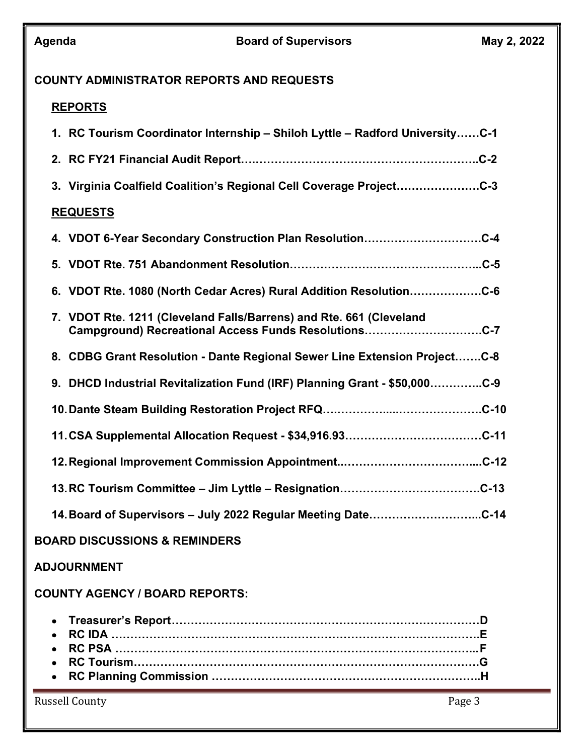#### COUNTY ADMINISTRATOR REPORTS AND REQUESTS

### REPORTS

| 1. RC Tourism Coordinator Internship - Shiloh Lyttle - Radford UniversityC-1                                                |
|-----------------------------------------------------------------------------------------------------------------------------|
|                                                                                                                             |
| 3. Virginia Coalfield Coalition's Regional Cell Coverage ProjectC-3                                                         |
| <b>REQUESTS</b>                                                                                                             |
| 4. VDOT 6-Year Secondary Construction Plan ResolutionC-4                                                                    |
|                                                                                                                             |
| 6. VDOT Rte. 1080 (North Cedar Acres) Rural Addition ResolutionC-6                                                          |
| 7. VDOT Rte. 1211 (Cleveland Falls/Barrens) and Rte. 661 (Cleveland<br>Campground) Recreational Access Funds ResolutionsC-7 |
| 8. CDBG Grant Resolution - Dante Regional Sewer Line Extension ProjectC-8                                                   |
| 9. DHCD Industrial Revitalization Fund (IRF) Planning Grant - \$50,000C-9                                                   |
|                                                                                                                             |
|                                                                                                                             |
|                                                                                                                             |
|                                                                                                                             |
| 14. Board of Supervisors - July 2022 Regular Meeting DateC-14                                                               |
| <b>BOARD DISCUSSIONS &amp; REMINDERS</b>                                                                                    |

#### ADJOURNMENT

#### COUNTY AGENCY / BOARD REPORTS:

| • RC Tourism………………………………………………………………………………G |
|---------------------------------------------|
|                                             |

Russell County Page 3